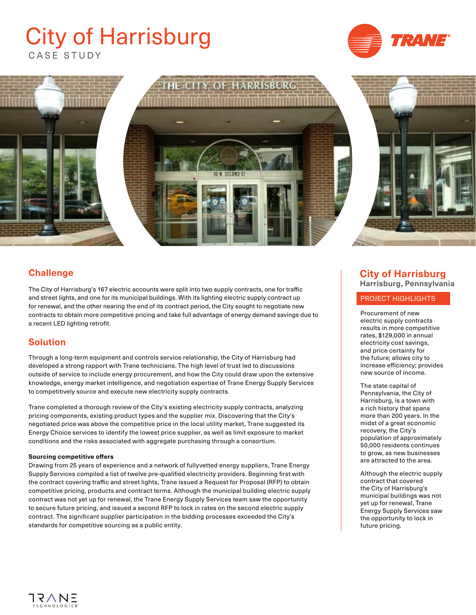# CASE STUDY City of Harrisburg





# **Challenge**

The City of Harrisburg's 167 electric accounts were split into two supply contracts, one for traffic and street lights, and one for its municipal buildings. With its lighting electric supply contract up for renewal, and the other nearing the end of its contract period, the City sought to negotiate new contracts to obtain more competitive pricing and take full advantage of energy demand savings due to a recent LED lighting retrofit.

## **Solution**

Through a long-term equipment and controls service relationship, the City of Harrisburg had developed a strong rapport with Trane technicians. The high level of trust led to discussions outside of service to include energy procurement, and how the City could draw upon the extensive knowledge, energy market intelligence, and negotiation expertise of Trane Energy Supply Services to competitively source and execute new electricity supply contracts.

Trane completed a thorough review of the City's existing electricity supply contracts, analyzing pricing components, existing product types and the supplier mix. Discovering that the City's negotiated price was above the competitive price in the local utility market, Trane suggested its Energy Choice services to identify the lowest price supplier, as well as limit exposure to market conditions and the risks associated with aggregate purchasing through a consortium.

#### **Sourcing competitive offers**

Drawing from 25 years of experience and a network of fullyvetted energy suppliers, Trane Energy Supply Services compiled a list of twelve pre-qualified electricity providers. Beginning first with the contract covering traffic and street lights, Trane issued a Request for Proposal (RFP) to obtain competitive pricing, products and contract terms. Although the municipal building electric supply contract was not yet up for renewal, the Trane Energy Supply Services team saw the opportunity to secure future pricing, and issued a second RFP to lock in rates on the second electric supply contract. The significant supplier participation in the bidding processes exceeded the City's standards for competitive sourcing as a public entity.

# **City of Harrisburg Harrisburg, Pennsylvania**

#### PROJECT HIGHLIGHTS

Procurement of new electric supply contracts results in more competitive rates, \$129,000 in annual electricity cost savings, and price certainty for the future; allows city to increase efficiency; provides new source of income.

The state capital of Pennsylvania, the City of Harrisburg, is a town with a rich history that spans more than 200 years. In the midst of a great economic recovery, the City's population of approximately 50,000 residents continues to grow, as new businesses are attracted to the area.

Although the electric supply contract that covered the City of Harrisburg's municipal buildings was not yet up for renewal, Trane Energy Supply Services saw the opportunity to lock in future pricing.